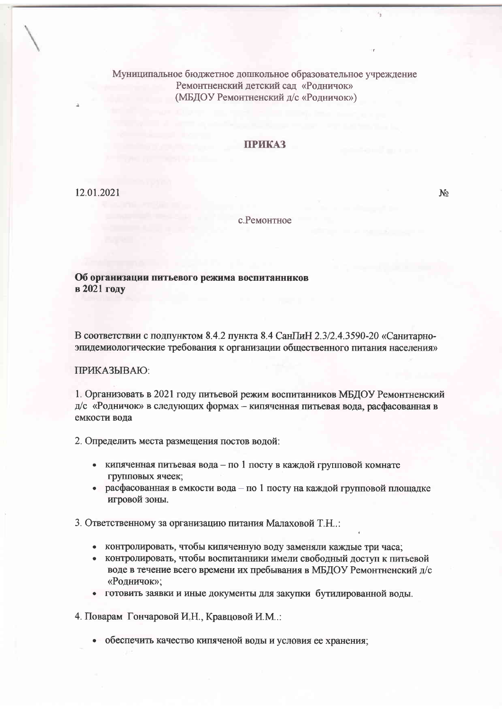Муниципальное бюджетное дошкольное образовательное учреждение Ремонтненский детский сад «Родничок» (МБДОУ Ремонтненский д/с «Родничок»)

## ПРИКАЗ

12.01.2021

 $N<sub>2</sub>$ 

## с. Ремонтное

Об организации питьевого режима воспитанников в 2021 году

В соответствии с подпунктом 8.4.2 пункта 8.4 СанГиН 2.3/2.4.3590-20 «Санитарноэпидемиологические требования к организации общественного питания населения»

## ПРИКАЗЫВАЮ:

1. Организовать в 2021 году питьевой режим воспитанников МБДОУ Ремонтненский д/с «Родничок» в следующих формах - кипяченная питьевая вода, расфасованная в емкости вода

2. Определить места размещения постов водой:

- кипяченная питьевая вода по 1 посту в каждой групповой комнате групповых ячеек;
- расфасованная в емкости вода по 1 посту на каждой групповой площадке игровой зоны.

3. Ответственному за организацию питания Малаховой Т.Н.:

- контролировать, чтобы кипяченную воду заменяли каждые три часа;
- контролировать, чтобы воспитанники имели свободный доступ к питьевой воде в течение всего времени их пребывания в МБДОУ Ремонтненский д/с «Родничок»;
- готовить заявки и иные документы для закупки бутилированной воды.

4. Поварам Гончаровой И.Н., Кравцовой И.М.:

• обеспечить качество кипяченой воды и условия ее хранения;